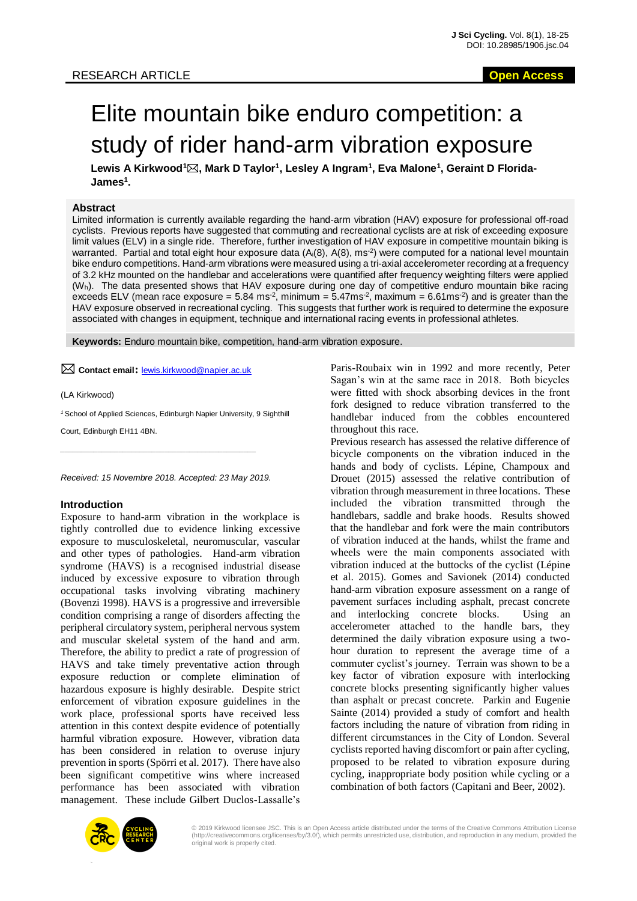# Elite mountain bike enduro competition: a study of rider hand-arm vibration exposure

**Lewis A Kirkwood<sup>1</sup>, Mark D Taylor<sup>1</sup> , Lesley A Ingram<sup>1</sup> , Eva Malone<sup>1</sup> , Geraint D Florida-James<sup>1</sup> .**

## **Abstract**

Limited information is currently available regarding the hand-arm vibration (HAV) exposure for professional off-road cyclists. Previous reports have suggested that commuting and recreational cyclists are at risk of exceeding exposure limit values (ELV) in a single ride. Therefore, further investigation of HAV exposure in competitive mountain biking is warranted. Partial and total eight hour exposure data (A<sub>i</sub>(8), A(8), ms<sup>-2</sup>) were computed for a national level mountain bike enduro competitions. Hand-arm vibrations were measured using a tri-axial accelerometer recording at a frequency of 3.2 kHz mounted on the handlebar and accelerations were quantified after frequency weighting filters were applied (Wh). The data presented shows that HAV exposure during one day of competitive enduro mountain bike racing exceeds ELV (mean race exposure = 5.84 ms<sup>-2</sup>, minimum = 5.47ms<sup>-2</sup>, maximum = 6.61ms<sup>-2</sup>) and is greater than the HAV exposure observed in recreational cycling. This suggests that further work is required to determine the exposure associated with changes in equipment, technique and international racing events in professional athletes.

**Keywords:** Enduro mountain bike, competition, hand-arm vibration exposure.

**Contact email:** lewis.kirkwood@napier.ac.uk

(LA Kirkwood)

*<sup>1</sup>*School of Applied Sciences, Edinburgh Napier University, 9 Sighthill

Court, Edinburgh EH11 4BN.

*Received: 15 Novembre 2018. Accepted: 23 May 2019.*

*\_\_\_\_\_\_\_\_\_\_\_\_\_\_\_\_\_\_\_\_\_\_\_\_\_\_\_\_\_\_\_\_\_\_\_\_\_\_\_\_\_\_\_\_\_\_\_*

#### **Introduction**

Exposure to hand-arm vibration in the workplace is tightly controlled due to evidence linking excessive exposure to musculoskeletal, neuromuscular, vascular and other types of pathologies. Hand-arm vibration syndrome (HAVS) is a recognised industrial disease induced by excessive exposure to vibration through occupational tasks involving vibrating machinery (Bovenzi 1998). HAVS is a progressive and irreversible condition comprising a range of disorders affecting the peripheral circulatory system, peripheral nervous system and muscular skeletal system of the hand and arm. Therefore, the ability to predict a rate of progression of HAVS and take timely preventative action through exposure reduction or complete elimination of hazardous exposure is highly desirable. Despite strict enforcement of vibration exposure guidelines in the work place, professional sports have received less attention in this context despite evidence of potentially harmful vibration exposure. However, vibration data has been considered in relation to overuse injury prevention in sports (Spörri et al. 2017). There have also been significant competitive wins where increased performance has been associated with vibration management. These include Gilbert Duclos-Lassalle's Paris-Roubaix win in 1992 and more recently, Peter Sagan's win at the same race in 2018. Both bicycles were fitted with shock absorbing devices in the front fork designed to reduce vibration transferred to the handlebar induced from the cobbles encountered throughout this race.

Previous research has assessed the relative difference of bicycle components on the vibration induced in the hands and body of cyclists. Lépine, Champoux and Drouet (2015) assessed the relative contribution of vibration through measurement in three locations. These included the vibration transmitted through the handlebars, saddle and brake hoods. Results showed that the handlebar and fork were the main contributors of vibration induced at the hands, whilst the frame and wheels were the main components associated with vibration induced at the buttocks of the cyclist (Lépine et al. 2015). Gomes and Savionek (2014) conducted hand-arm vibration exposure assessment on a range of pavement surfaces including asphalt, precast concrete and interlocking concrete blocks. Using an accelerometer attached to the handle bars, they determined the daily vibration exposure using a twohour duration to represent the average time of a commuter cyclist's journey. Terrain was shown to be a key factor of vibration exposure with interlocking concrete blocks presenting significantly higher values than asphalt or precast concrete. Parkin and Eugenie Sainte (2014) provided a study of comfort and health factors including the nature of vibration from riding in different circumstances in the City of London. Several cyclists reported having discomfort or pain after cycling, proposed to be related to vibration exposure during cycling, inappropriate body position while cycling or a combination of both factors (Capitani and Beer, 2002).



© 2019 Kirkwood licensee JSC. This is an Open Access article distributed under the terms of the Creative Commons Attribution License (http://creativecommons.org/licenses/by/3.0/), which permits unrestricted use, distribution, and reproduction in any medium, provided the original work is properly cited.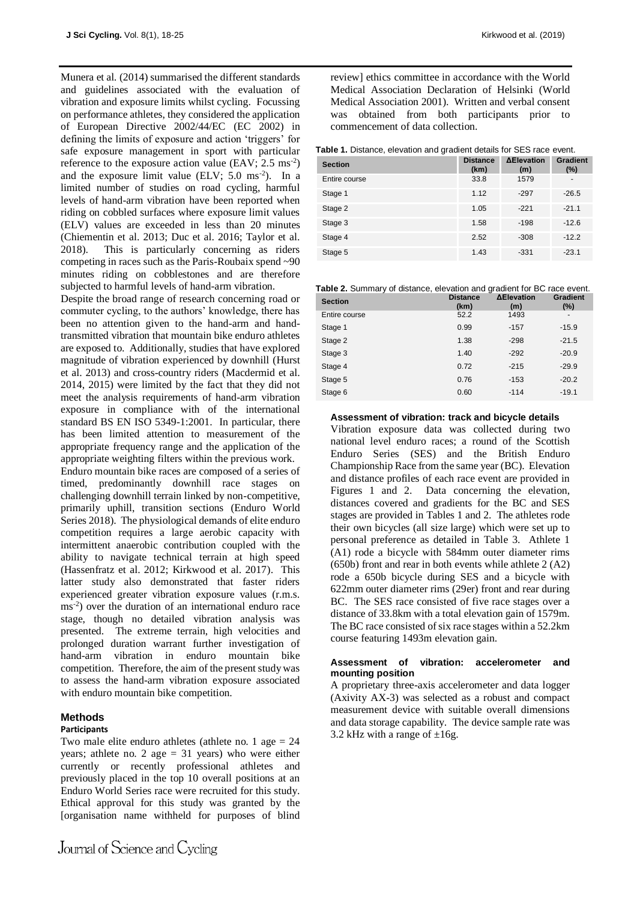Munera et al*.* (2014) summarised the different standards and guidelines associated with the evaluation of vibration and exposure limits whilst cycling. Focussing on performance athletes, they considered the application of European Directive 2002/44/EC (EC 2002) in defining the limits of exposure and action 'triggers' for safe exposure management in sport with particular reference to the exposure action value  $(EAV; 2.5 \text{ ms}^{-2})$ and the exposure limit value (ELV;  $5.0 \text{ ms}^{-2}$ ). In a limited number of studies on road cycling, harmful levels of hand-arm vibration have been reported when riding on cobbled surfaces where exposure limit values (ELV) values are exceeded in less than 20 minutes (Chiementin et al. 2013; Duc et al. 2016; Taylor et al. 2018). This is particularly concerning as riders competing in races such as the Paris-Roubaix spend ~90 minutes riding on cobblestones and are therefore subjected to harmful levels of hand-arm vibration.

Despite the broad range of research concerning road or commuter cycling, to the authors' knowledge, there has been no attention given to the hand-arm and handtransmitted vibration that mountain bike enduro athletes are exposed to. Additionally, studies that have explored magnitude of vibration experienced by downhill (Hurst et al. 2013) and cross-country riders (Macdermid et al. 2014, 2015) were limited by the fact that they did not meet the analysis requirements of hand-arm vibration exposure in compliance with of the international standard BS EN ISO 5349-1:2001. In particular, there has been limited attention to measurement of the appropriate frequency range and the application of the appropriate weighting filters within the previous work.

Enduro mountain bike races are composed of a series of timed, predominantly downhill race stages on challenging downhill terrain linked by non-competitive, primarily uphill, transition sections (Enduro World Series 2018). The physiological demands of elite enduro competition requires a large aerobic capacity with intermittent anaerobic contribution coupled with the ability to navigate technical terrain at high speed (Hassenfratz et al. 2012; Kirkwood et al. 2017). This latter study also demonstrated that faster riders experienced greater vibration exposure values (r.m.s. ms-2 ) over the duration of an international enduro race stage, though no detailed vibration analysis was presented. The extreme terrain, high velocities and prolonged duration warrant further investigation of hand-arm vibration in enduro mountain bike competition. Therefore, the aim of the present study was to assess the hand-arm vibration exposure associated with enduro mountain bike competition.

# **Methods**

# **Participants**

Two male elite enduro athletes (athlete no. 1 age  $= 24$ years; athlete no. 2 age = 31 years) who were either currently or recently professional athletes and previously placed in the top 10 overall positions at an Enduro World Series race were recruited for this study. Ethical approval for this study was granted by the [organisation name withheld for purposes of blind

review] ethics committee in accordance with the World Medical Association Declaration of Helsinki (World Medical Association 2001). Written and verbal consent was obtained from both participants prior to commencement of data collection.

## **Table 1.** Distance, elevation and gradient details for SES race event.

| <b>Section</b> | <b>Distance</b><br>(km) | <b>ΔElevation</b><br>(m) | <b>Gradient</b><br>(%) |
|----------------|-------------------------|--------------------------|------------------------|
| Entire course  | 33.8                    | 1579                     |                        |
| Stage 1        | 1.12                    | $-297$                   | $-26.5$                |
| Stage 2        | 1.05                    | $-221$                   | $-21.1$                |
| Stage 3        | 1.58                    | $-198$                   | $-12.6$                |
| Stage 4        | 2.52                    | $-308$                   | $-12.2$                |
| Stage 5        | 1.43                    | $-331$                   | $-23.1$                |

| Table 2. Summary of distance, elevation and gradient for BC race event. |  |  |
|-------------------------------------------------------------------------|--|--|
|                                                                         |  |  |

| <b>Section</b> | <b>Distance</b><br>(km) | <b>AElevation</b><br>(m) | <b>Gradient</b><br>$(\%)$ |
|----------------|-------------------------|--------------------------|---------------------------|
| Entire course  | 52.2                    | 1493                     |                           |
| Stage 1        | 0.99                    | $-157$                   | $-15.9$                   |
| Stage 2        | 1.38                    | $-298$                   | $-21.5$                   |
| Stage 3        | 1.40                    | $-292$                   | $-20.9$                   |
| Stage 4        | 0.72                    | $-215$                   | $-29.9$                   |
| Stage 5        | 0.76                    | $-153$                   | $-20.2$                   |
| Stage 6        | 0.60                    | $-114$                   | $-19.1$                   |

#### **Assessment of vibration: track and bicycle details**

Vibration exposure data was collected during two national level enduro races; a round of the Scottish Enduro Series (SES) and the British Enduro Championship Race from the same year (BC). Elevation and distance profiles of each race event are provided in Figures 1 and 2. Data concerning the elevation, distances covered and gradients for the BC and SES stages are provided in Tables 1 and 2. The athletes rode their own bicycles (all size large) which were set up to personal preference as detailed in Table 3. Athlete 1 (A1) rode a bicycle with 584mm outer diameter rims (650b) front and rear in both events while athlete 2 (A2) rode a 650b bicycle during SES and a bicycle with 622mm outer diameter rims (29er) front and rear during BC. The SES race consisted of five race stages over a distance of 33.8km with a total elevation gain of 1579m. The BC race consisted of six race stages within a 52.2km course featuring 1493m elevation gain.

## **Assessment of vibration: accelerometer and mounting position**

A proprietary three-axis accelerometer and data logger (Axivity AX-3) was selected as a robust and compact measurement device with suitable overall dimensions and data storage capability. The device sample rate was 3.2 kHz with a range of  $\pm 16$ g.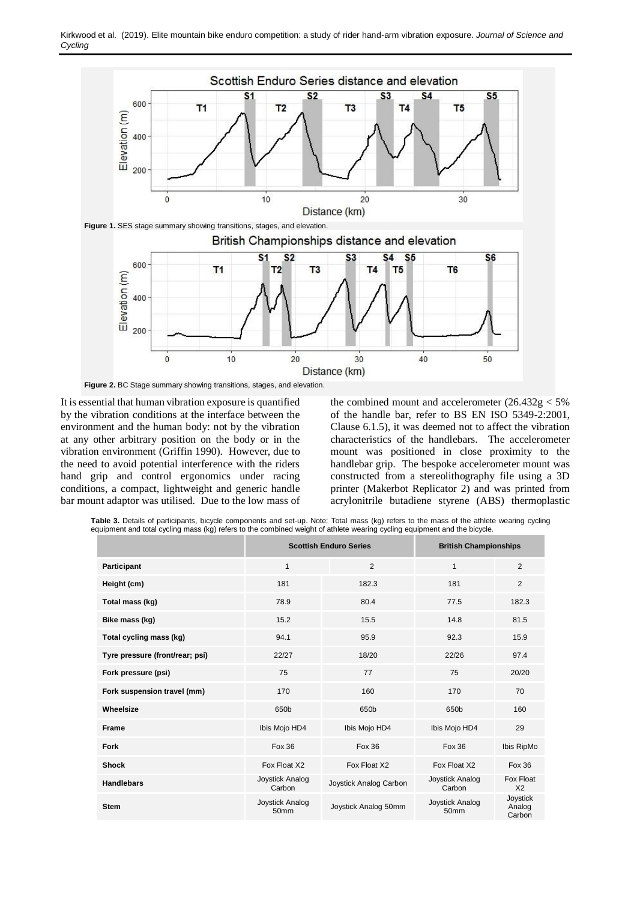

It is essential that human vibration exposure is quantified by the vibration conditions at the interface between the environment and the human body: not by the vibration at any other arbitrary position on the body or in the vibration environment (Griffin 1990). However, due to the need to avoid potential interference with the riders hand grip and control ergonomics under racing conditions, a compact, lightweight and generic handle bar mount adaptor was utilised. Due to the low mass of

the combined mount and accelerometer  $(26.432g < 5\%$ of the handle bar, refer to BS EN ISO 5349-2:2001, Clause 6.1.5), it was deemed not to affect the vibration characteristics of the handlebars. The accelerometer mount was positioned in close proximity to the handlebar grip. The bespoke accelerometer mount was constructed from a stereolithography file using a 3D printer (Makerbot Replicator 2) and was printed from acrylonitrile butadiene styrene (ABS) thermoplastic

**Table 3.** Details of participants, bicycle components and set-up. Note: Total mass (kg) refers to the mass of the athlete wearing cycling equipment and total cycling mass (kg) refers to the combined weight of athlete wearing cycling equipment and the bicycle.

|                                 |                           | <b>Scottish Enduro Series</b> | <b>British Championships</b> |                              |  |
|---------------------------------|---------------------------|-------------------------------|------------------------------|------------------------------|--|
| Participant                     | $\mathbf{1}$              | 2                             | $\mathbf{1}$                 | 2                            |  |
| Height (cm)                     | 181                       | 182.3                         | 181                          | 2                            |  |
| Total mass (kg)                 | 78.9                      | 80.4                          | 77.5                         | 182.3                        |  |
| Bike mass (kg)                  | 15.2                      | 15.5                          | 14.8                         | 81.5                         |  |
| Total cycling mass (kg)         | 94.1                      | 95.9                          | 92.3                         | 15.9                         |  |
| Tyre pressure (front/rear; psi) | 22/27                     | 18/20                         | 22/26                        | 97.4                         |  |
| Fork pressure (psi)             | 75                        | 77                            | 75                           | 20/20                        |  |
| Fork suspension travel (mm)     | 170                       | 160                           | 170                          | 70                           |  |
| Wheelsize                       | 650b                      | 650b                          | 650b                         | 160                          |  |
| Frame                           | Ibis Mojo HD4             | Ibis Mojo HD4                 | Ibis Mojo HD4                | 29                           |  |
| Fork                            | Fox 36                    | Fox 36                        | <b>Fox 36</b>                | Ibis RipMo                   |  |
| <b>Shock</b>                    | Fox Float X2              | Fox Float X2                  | Fox Float X2                 | Fox 36                       |  |
| <b>Handlebars</b>               | Joystick Analog<br>Carbon | Joystick Analog Carbon        | Joystick Analog<br>Carbon    | Fox Float<br>X <sub>2</sub>  |  |
| <b>Stem</b>                     | Joystick Analog<br>50mm   | Joystick Analog 50mm          | Joystick Analog<br>50mm      | Joystick<br>Analog<br>Carbon |  |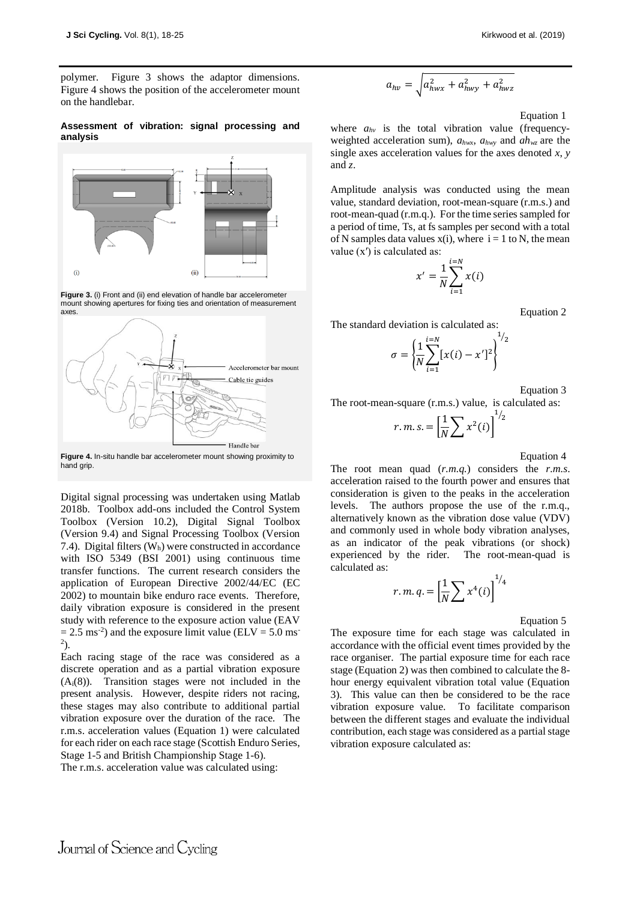polymer. Figure 3 shows the adaptor dimensions. Figure 4 shows the position of the accelerometer mount on the handlebar.

#### **Assessment of vibration: signal processing and analysis**



**Figure 3.** (i) Front and (ii) end elevation of handle bar accelerometer mount showing apertures for fixing ties and orientation of measurement



**Figure 4.** In-situ handle bar accelerometer mount showing proximity to hand grip.

Digital signal processing was undertaken using Matlab 2018b. Toolbox add-ons included the Control System Toolbox (Version 10.2), Digital Signal Toolbox (Version 9.4) and Signal Processing Toolbox (Version 7.4). Digital filters  $(W_h)$  were constructed in accordance with ISO 5349 (BSI 2001) using continuous time transfer functions. The current research considers the application of European Directive 2002/44/EC (EC 2002) to mountain bike enduro race events. Therefore, daily vibration exposure is considered in the present study with reference to the exposure action value (EAV  $= 2.5$  ms<sup>-2</sup>) and the exposure limit value (ELV  $= 5.0$  ms<sup>-1</sup>  $^{2}$ ).

Each racing stage of the race was considered as a discrete operation and as a partial vibration exposure (Ai(8)). Transition stages were not included in the present analysis. However, despite riders not racing, these stages may also contribute to additional partial vibration exposure over the duration of the race. The r.m.s. acceleration values (Equation 1) were calculated for each rider on each race stage (Scottish Enduro Series, Stage 1-5 and British Championship Stage 1-6).

The r.m.s. acceleration value was calculated using:

$$
a_{hv} = \sqrt{a_{hwx}^2 + a_{hwy}^2 + a_{hwx}^2}
$$

Equation 1

where  $a_{hv}$  is the total vibration value (frequencyweighted acceleration sum), *ahwx*, *ahwy* and *ahwz* are the single axes acceleration values for the axes denoted *x*, *y* and *z*.

Amplitude analysis was conducted using the mean value, standard deviation, root-mean-square (r.m.s.) and root-mean-quad (r.m.q.). For the time series sampled for a period of time, Ts, at fs samples per second with a total of N samples data values  $x(i)$ , where  $i = 1$  to N, the mean value  $(x')$  is calculated as:

$$
x' = \frac{1}{N} \sum_{i=1}^{i=N} x(i)
$$

Equation 2

The standard deviation is calculated as:

$$
\sigma = \left\{ \frac{1}{N} \sum_{i=1}^{i=N} [x(i) - x']^2 \right\}^{1/2}
$$

Equation 3

The root-mean-square (r.m.s.) value, is calculated as:

$$
r.m.s. = \left[\frac{1}{N}\sum x^2(i)\right]^{1/2}
$$

Equation 4

The root mean quad (*r.m.q.*) considers the *r.m.s*. acceleration raised to the fourth power and ensures that consideration is given to the peaks in the acceleration levels. The authors propose the use of the r.m.q., alternatively known as the vibration dose value (VDV) and commonly used in whole body vibration analyses, as an indicator of the peak vibrations (or shock) experienced by the rider. The root-mean-quad is calculated as:

$$
r.m. q. = \left[\frac{1}{N}\sum x^4(i)\right]^{1/4}
$$

Equation 5

The exposure time for each stage was calculated in accordance with the official event times provided by the race organiser. The partial exposure time for each race stage (Equation 2) was then combined to calculate the 8 hour energy equivalent vibration total value (Equation 3). This value can then be considered to be the race vibration exposure value. To facilitate comparison between the different stages and evaluate the individual contribution, each stage was considered as a partial stage vibration exposure calculated as: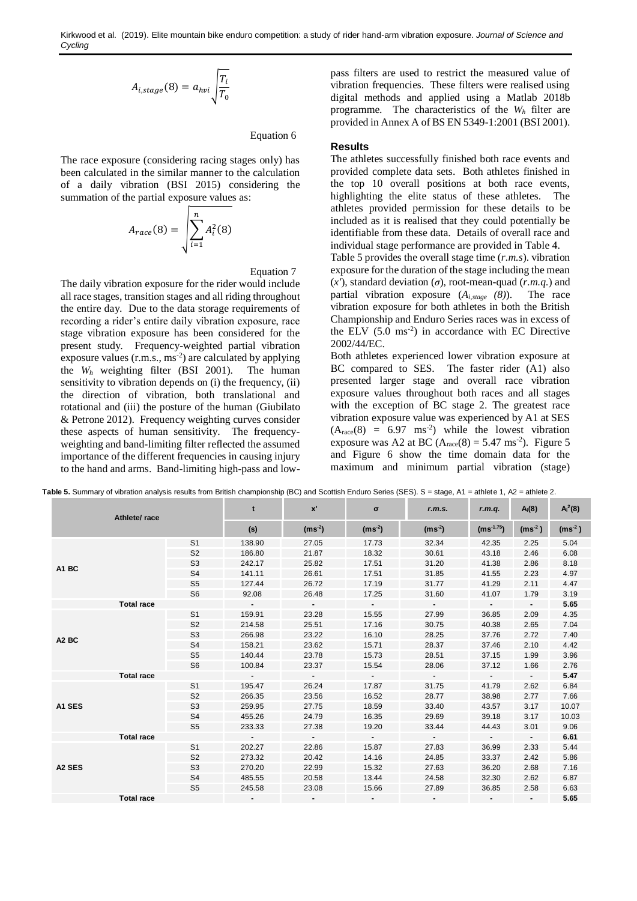$$
A_{i,stage}(8) = a_{hvi} \sqrt{\frac{T_i}{T_0}}
$$

Equation 6

The race exposure (considering racing stages only) has been calculated in the similar manner to the calculation of a daily vibration (BSI 2015) considering the summation of the partial exposure values as:

$$
A_{race}(8) = \sqrt{\sum_{i=1}^{n} A_i^2(8)}
$$

Equation 7

The daily vibration exposure for the rider would include all race stages, transition stages and all riding throughout the entire day. Due to the data storage requirements of recording a rider's entire daily vibration exposure, race stage vibration exposure has been considered for the present study. Frequency-weighted partial vibration exposure values (r.m.s., ms<sup>-2</sup>) are calculated by applying the  $W_h$  weighting filter (BSI 2001). The human sensitivity to vibration depends on (i) the frequency, (ii) the direction of vibration, both translational and rotational and (iii) the posture of the human (Giubilato & Petrone 2012). Frequency weighting curves consider these aspects of human sensitivity. The frequencyweighting and band-limiting filter reflected the assumed importance of the different frequencies in causing injury to the hand and arms. Band-limiting high-pass and lowpass filters are used to restrict the measured value of vibration frequencies. These filters were realised using digital methods and applied using a Matlab 2018b programme. The characteristics of the *W<sup>h</sup>* filter are provided in Annex A of BS EN 5349-1:2001 (BSI 2001).

## **Results**

The athletes successfully finished both race events and provided complete data sets. Both athletes finished in the top 10 overall positions at both race events, highlighting the elite status of these athletes. The athletes provided permission for these details to be included as it is realised that they could potentially be identifiable from these data. Details of overall race and individual stage performance are provided in Table 4.

Table 5 provides the overall stage time (*r.m.s*). vibration exposure for the duration of the stage including the mean (*x'*), standard deviation (*σ*), root-mean-quad (*r.m.q.*) and partial vibration exposure  $(A_{i,stage} (8))$ . The race vibration exposure for both athletes in both the British Championship and Enduro Series races was in excess of the ELV (5.0 ms-2 ) in accordance with EC Directive 2002/44/EC.

Both athletes experienced lower vibration exposure at BC compared to SES. The faster rider (A1) also presented larger stage and overall race vibration exposure values throughout both races and all stages with the exception of BC stage 2. The greatest race vibration exposure value was experienced by A1 at SES  $(A<sub>race</sub>(8) = 6.97 \text{ ms}^{-2})$  while the lowest vibration exposure was A2 at BC  $(A<sub>race</sub>(8) = 5.47 \text{ ms}^{-2})$ . Figure 5 and Figure 6 show the time domain data for the maximum and minimum partial vibration (stage)

| Athlete/race       |                   | t              | $\mathbf{x}^{\prime}$ | $\sigma$ | r.m.s.   | r.m.q.   | $A_i(8)$       | $A_i^2(8)$               |          |
|--------------------|-------------------|----------------|-----------------------|----------|----------|----------|----------------|--------------------------|----------|
|                    |                   |                |                       | $(ms-2)$ | $(ms-2)$ | $(ms-2)$ | $(ms^{-1.75})$ | $(ms-2)$                 | $(ms-2)$ |
|                    |                   | S <sub>1</sub> | 138.90                | 27.05    | 17.73    | 32.34    | 42.35          | 2.25                     | 5.04     |
|                    |                   | S <sub>2</sub> | 186.80                | 21.87    | 18.32    | 30.61    | 43.18          | 2.46                     | 6.08     |
|                    |                   | S <sub>3</sub> | 242.17                | 25.82    | 17.51    | 31.20    | 41.38          | 2.86                     | 8.18     |
| A1 BC              |                   | S <sub>4</sub> | 141.11                | 26.61    | 17.51    | 31.85    | 41.55          | 2.23                     | 4.97     |
|                    |                   | S <sub>5</sub> | 127.44                | 26.72    | 17.19    | 31.77    | 41.29          | 2.11                     | 4.47     |
|                    |                   | S <sub>6</sub> | 92.08                 | 26.48    | 17.25    | 31.60    | 41.07          | 1.79                     | 3.19     |
|                    | <b>Total race</b> |                | $\sim$                | $\sim$   | $\sim$   | $\sim$   | $\sim$         | $\overline{\phantom{0}}$ | 5.65     |
|                    |                   | S <sub>1</sub> | 159.91                | 23.28    | 15.55    | 27.99    | 36.85          | 2.09                     | 4.35     |
|                    |                   | S <sub>2</sub> | 214.58                | 25.51    | 17.16    | 30.75    | 40.38          | 2.65                     | 7.04     |
| A <sub>2</sub> BC  |                   | S <sub>3</sub> | 266.98                | 23.22    | 16.10    | 28.25    | 37.76          | 2.72                     | 7.40     |
|                    |                   | S <sub>4</sub> | 158.21                | 23.62    | 15.71    | 28.37    | 37.46          | 2.10                     | 4.42     |
|                    |                   | S <sub>5</sub> | 140.44                | 23.78    | 15.73    | 28.51    | 37.15          | 1.99                     | 3.96     |
|                    |                   | S <sub>6</sub> | 100.84                | 23.37    | 15.54    | 28.06    | 37.12          | 1.66                     | 2.76     |
|                    | <b>Total race</b> |                | $\sim$                | $\sim$   | $\sim$   | $\sim$   | $\blacksquare$ | $\blacksquare$           | 5.47     |
|                    |                   | S <sub>1</sub> | 195.47                | 26.24    | 17.87    | 31.75    | 41.79          | 2.62                     | 6.84     |
|                    |                   | S <sub>2</sub> | 266.35                | 23.56    | 16.52    | 28.77    | 38.98          | 2.77                     | 7.66     |
| A1 SES             |                   | S <sub>3</sub> | 259.95                | 27.75    | 18.59    | 33.40    | 43.57          | 3.17                     | 10.07    |
|                    |                   | S <sub>4</sub> | 455.26                | 24.79    | 16.35    | 29.69    | 39.18          | 3.17                     | 10.03    |
|                    |                   | S <sub>5</sub> | 233.33                | 27.38    | 19.20    | 33.44    | 44.43          | 3.01                     | 9.06     |
|                    | <b>Total race</b> |                | $\sim$                | $\sim$   | $\sim$   | $\sim$   | $\sim$         | $\blacksquare$           | 6.61     |
|                    |                   | S <sub>1</sub> | 202.27                | 22.86    | 15.87    | 27.83    | 36.99          | 2.33                     | 5.44     |
| A <sub>2</sub> SES |                   | S <sub>2</sub> | 273.32                | 20.42    | 14.16    | 24.85    | 33.37          | 2.42                     | 5.86     |
|                    |                   | S <sub>3</sub> | 270.20                | 22.99    | 15.32    | 27.63    | 36.20          | 2.68                     | 7.16     |
|                    |                   | S <sub>4</sub> | 485.55                | 20.58    | 13.44    | 24.58    | 32.30          | 2.62                     | 6.87     |
|                    |                   | S <sub>5</sub> | 245.58                | 23.08    | 15.66    | 27.89    | 36.85          | 2.58                     | 6.63     |
|                    | <b>Total race</b> |                |                       |          |          |          |                | $\blacksquare$           | 5.65     |

Table 5. Summary of vibration analysis results from British championship (BC) and Scottish Enduro Series (SES). S = stage, A1 = athlete 1, A2 = athlete 2.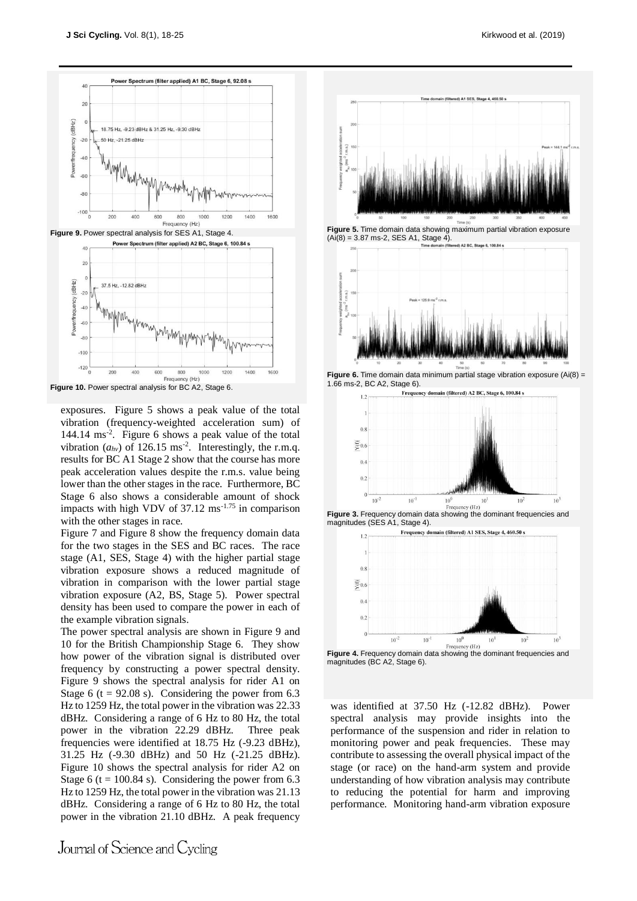



**Figure 10.** Power spectral analysis for BC A2, Stage 6.

exposures. Figure 5 shows a peak value of the total vibration (frequency-weighted acceleration sum) of 144.14 ms-2 . Figure 6 shows a peak value of the total vibration  $(a_{hv})$  of 126.15 ms<sup>-2</sup>. Interestingly, the r.m.q. results for BC A1 Stage 2 show that the course has more peak acceleration values despite the r.m.s. value being lower than the other stages in the race. Furthermore, BC Stage 6 also shows a considerable amount of shock impacts with high VDV of  $37.12 \text{ ms}^{-1.75}$  in comparison with the other stages in race.

Figure 7 and Figure 8 show the frequency domain data for the two stages in the SES and BC races. The race stage (A1, SES, Stage 4) with the higher partial stage vibration exposure shows a reduced magnitude of vibration in comparison with the lower partial stage vibration exposure (A2, BS, Stage 5). Power spectral density has been used to compare the power in each of the example vibration signals.

The power spectral analysis are shown in Figure 9 and 10 for the British Championship Stage 6. They show how power of the vibration signal is distributed over frequency by constructing a power spectral density. Figure 9 shows the spectral analysis for rider A1 on Stage 6 ( $t = 92.08$  s). Considering the power from 6.3 Hz to 1259 Hz, the total power in the vibration was 22.33 dBHz. Considering a range of 6 Hz to 80 Hz, the total power in the vibration 22.29 dBHz. Three peak frequencies were identified at 18.75 Hz (-9.23 dBHz), 31.25 Hz (-9.30 dBHz) and 50 Hz (-21.25 dBHz). Figure 10 shows the spectral analysis for rider A2 on Stage 6 (t = 100.84 s). Considering the power from 6.3 Hz to 1259 Hz, the total power in the vibration was 21.13 dBHz. Considering a range of 6 Hz to 80 Hz, the total power in the vibration 21.10 dBHz. A peak frequency



was identified at 37.50 Hz (-12.82 dBHz). Power spectral analysis may provide insights into the performance of the suspension and rider in relation to monitoring power and peak frequencies. These may contribute to assessing the overall physical impact of the stage (or race) on the hand-arm system and provide understanding of how vibration analysis may contribute to reducing the potential for harm and improving performance. Monitoring hand-arm vibration exposure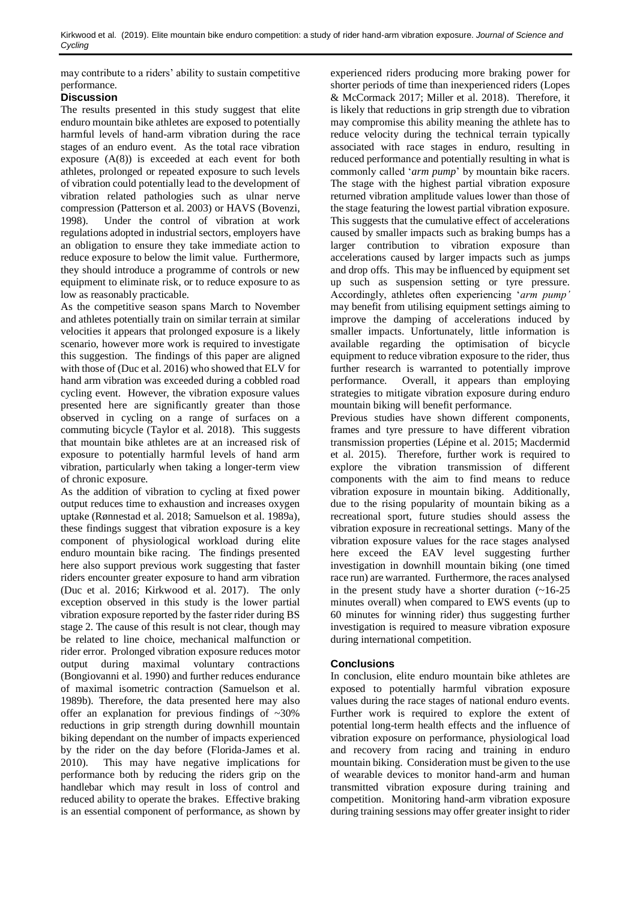may contribute to a riders' ability to sustain competitive performance.

# **Discussion**

The results presented in this study suggest that elite enduro mountain bike athletes are exposed to potentially harmful levels of hand-arm vibration during the race stages of an enduro event. As the total race vibration exposure  $(A(8))$  is exceeded at each event for both athletes, prolonged or repeated exposure to such levels of vibration could potentially lead to the development of vibration related pathologies such as ulnar nerve compression (Patterson et al. 2003) or HAVS (Bovenzi, 1998). Under the control of vibration at work regulations adopted in industrial sectors, employers have an obligation to ensure they take immediate action to reduce exposure to below the limit value. Furthermore, they should introduce a programme of controls or new equipment to eliminate risk, or to reduce exposure to as low as reasonably practicable.

As the competitive season spans March to November and athletes potentially train on similar terrain at similar velocities it appears that prolonged exposure is a likely scenario, however more work is required to investigate this suggestion. The findings of this paper are aligned with those of (Duc et al. 2016) who showed that ELV for hand arm vibration was exceeded during a cobbled road cycling event. However, the vibration exposure values presented here are significantly greater than those observed in cycling on a range of surfaces on a commuting bicycle (Taylor et al. 2018). This suggests that mountain bike athletes are at an increased risk of exposure to potentially harmful levels of hand arm vibration, particularly when taking a longer-term view of chronic exposure.

As the addition of vibration to cycling at fixed power output reduces time to exhaustion and increases oxygen uptake (Rønnestad et al. 2018; Samuelson et al. 1989a), these findings suggest that vibration exposure is a key component of physiological workload during elite enduro mountain bike racing. The findings presented here also support previous work suggesting that faster riders encounter greater exposure to hand arm vibration (Duc et al. 2016; Kirkwood et al. 2017). The only exception observed in this study is the lower partial vibration exposure reported by the faster rider during BS stage 2. The cause of this result is not clear, though may be related to line choice, mechanical malfunction or rider error. Prolonged vibration exposure reduces motor output during maximal voluntary contractions (Bongiovanni et al. 1990) and further reduces endurance of maximal isometric contraction (Samuelson et al. 1989b). Therefore, the data presented here may also offer an explanation for previous findings of ~30% reductions in grip strength during downhill mountain biking dependant on the number of impacts experienced by the rider on the day before (Florida-James et al. 2010). This may have negative implications for performance both by reducing the riders grip on the handlebar which may result in loss of control and reduced ability to operate the brakes. Effective braking is an essential component of performance, as shown by experienced riders producing more braking power for shorter periods of time than inexperienced riders (Lopes & McCormack 2017; Miller et al. 2018). Therefore, it is likely that reductions in grip strength due to vibration may compromise this ability meaning the athlete has to reduce velocity during the technical terrain typically associated with race stages in enduro, resulting in reduced performance and potentially resulting in what is commonly called '*arm pump*' by mountain bike racers. The stage with the highest partial vibration exposure returned vibration amplitude values lower than those of the stage featuring the lowest partial vibration exposure. This suggests that the cumulative effect of accelerations caused by smaller impacts such as braking bumps has a larger contribution to vibration exposure than accelerations caused by larger impacts such as jumps and drop offs. This may be influenced by equipment set up such as suspension setting or tyre pressure. Accordingly, athletes often experiencing '*arm pump'*  may benefit from utilising equipment settings aiming to improve the damping of accelerations induced by smaller impacts. Unfortunately, little information is available regarding the optimisation of bicycle equipment to reduce vibration exposure to the rider, thus further research is warranted to potentially improve performance. Overall, it appears than employing strategies to mitigate vibration exposure during enduro mountain biking will benefit performance.

Previous studies have shown different components, frames and tyre pressure to have different vibration transmission properties (Lépine et al. 2015; Macdermid et al. 2015). Therefore, further work is required to explore the vibration transmission of different components with the aim to find means to reduce vibration exposure in mountain biking. Additionally, due to the rising popularity of mountain biking as a recreational sport, future studies should assess the vibration exposure in recreational settings. Many of the vibration exposure values for the race stages analysed here exceed the EAV level suggesting further investigation in downhill mountain biking (one timed race run) are warranted. Furthermore, the races analysed in the present study have a shorter duration  $(-16-25)$ minutes overall) when compared to EWS events (up to 60 minutes for winning rider) thus suggesting further investigation is required to measure vibration exposure during international competition.

# **Conclusions**

In conclusion, elite enduro mountain bike athletes are exposed to potentially harmful vibration exposure values during the race stages of national enduro events. Further work is required to explore the extent of potential long-term health effects and the influence of vibration exposure on performance, physiological load and recovery from racing and training in enduro mountain biking. Consideration must be given to the use of wearable devices to monitor hand-arm and human transmitted vibration exposure during training and competition. Monitoring hand-arm vibration exposure during training sessions may offer greater insight to rider